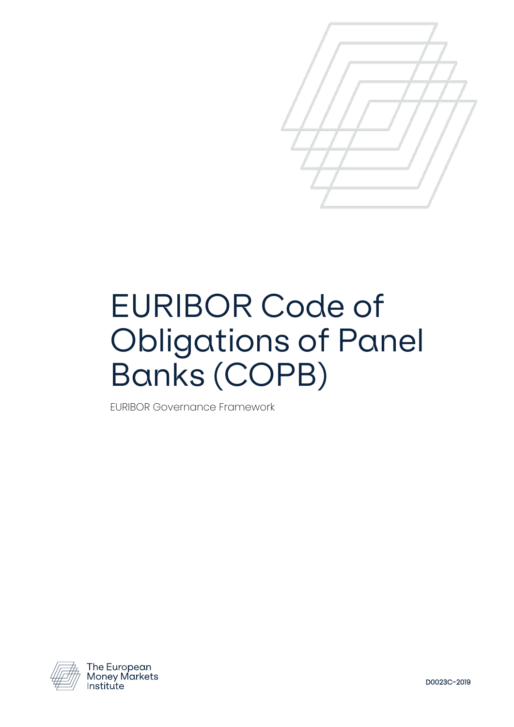

# EURIBOR Code of Obligations of Panel Banks (COPB)

EURIBOR Governance Framework



The European<br>Money Markets Institute

D0023C-2019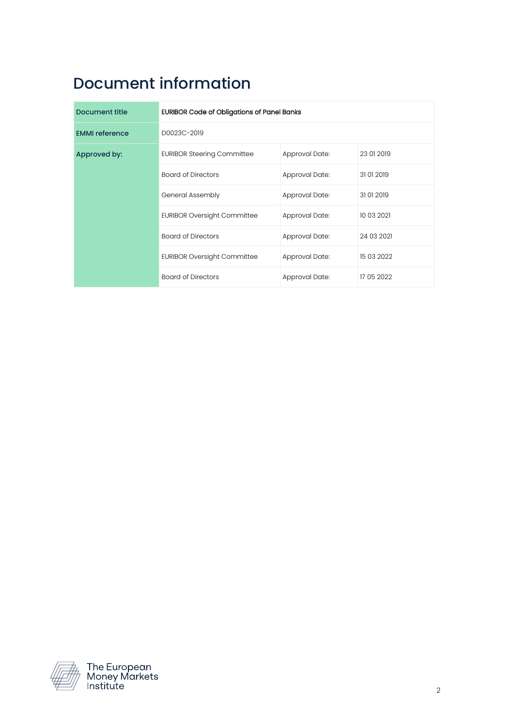# Document information

| Document title        | <b>EURIBOR Code of Obligations of Panel Banks</b> |                |            |
|-----------------------|---------------------------------------------------|----------------|------------|
| <b>EMMI</b> reference | D0023C-2019                                       |                |            |
| Approved by:          | <b>EURIBOR Steering Committee</b>                 | Approval Date: | 23 01 2019 |
|                       | <b>Board of Directors</b>                         | Approval Date: | 31012019   |
|                       | General Assembly                                  | Approval Date: | 31012019   |
|                       | <b>EURIBOR Oversight Committee</b>                | Approval Date: | 10 03 2021 |
|                       | <b>Board of Directors</b>                         | Approval Date: | 24 03 2021 |
|                       | <b>EURIBOR Oversight Committee</b>                | Approval Date: | 15 03 2022 |
|                       | <b>Board of Directors</b>                         | Approval Date: | 17 05 2022 |

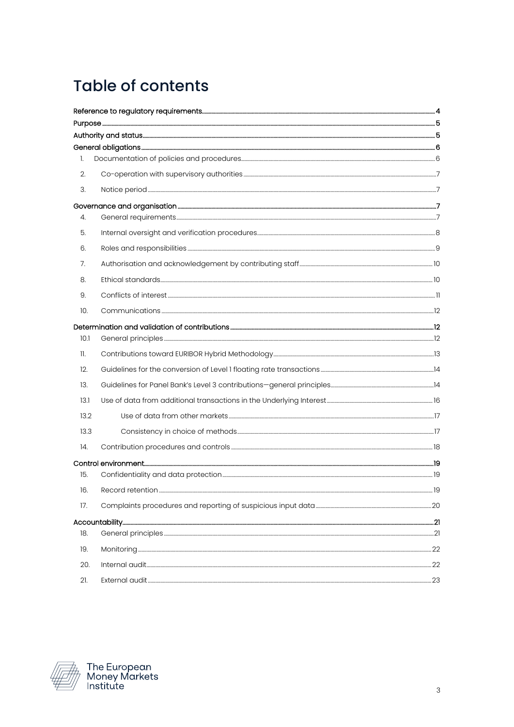# **Table of contents**

| 1.              |                  |     |
|-----------------|------------------|-----|
| 2.              |                  |     |
| 3.              |                  |     |
|                 |                  |     |
| 4.              |                  |     |
| 5.              |                  |     |
| 6.              |                  |     |
| 7.              |                  |     |
| 8.              |                  |     |
| 9.              |                  |     |
| 10.             |                  |     |
|                 |                  |     |
| 10.1            |                  |     |
| $\mathbf{11}$ . |                  |     |
| 12.             |                  |     |
| 13.             |                  |     |
| 13.1            |                  |     |
| 13.2            |                  |     |
| 13.3            |                  |     |
| 14.             |                  |     |
|                 |                  |     |
| 15.             |                  |     |
| 16.             | Record retention | -19 |
| 17.             |                  |     |
|                 |                  |     |
| 18.             |                  |     |
| 19.             |                  |     |
| 20.             |                  |     |
| 21.             |                  |     |

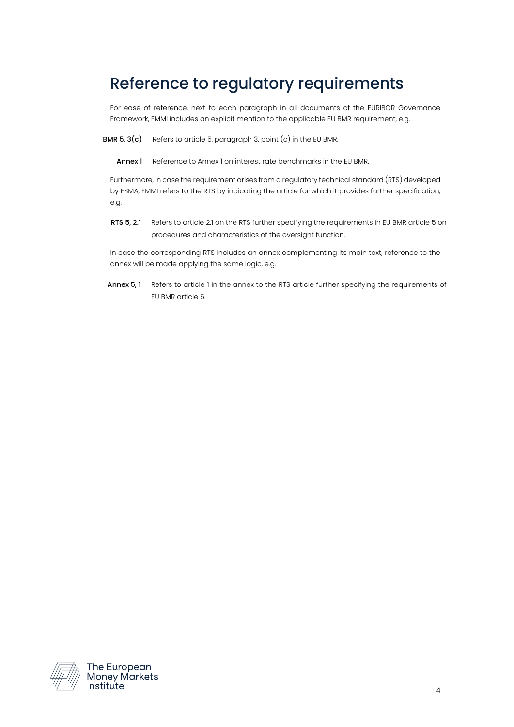# <span id="page-3-0"></span>Reference to regulatory requirements

For ease of reference, next to each paragraph in all documents of the EURIBOR Governance Framework, EMMI includes an explicit mention to the applicable EU BMR requirement, e.g.

BMR  $5, 3(c)$  Refers to article 5, paragraph 3, point  $(c)$  in the EU BMR.

Annex 1 Reference to Annex 1 on interest rate benchmarks in the EU BMR.

Furthermore, in case the requirement arises from a regulatory technical standard (RTS) developed by ESMA, EMMI refers to the RTS by indicating the article for which it provides further specification, e.g.

RTS 5, 2.1 Refers to article 2.1 on the RTS further specifying the requirements in EU BMR article 5 on procedures and characteristics of the oversight function.

In case the corresponding RTS includes an annex complementing its main text, reference to the annex will be made applying the same logic, e.g.

Annex 5, 1 Refers to article 1 in the annex to the RTS article further specifying the requirements of EU BMR article 5.

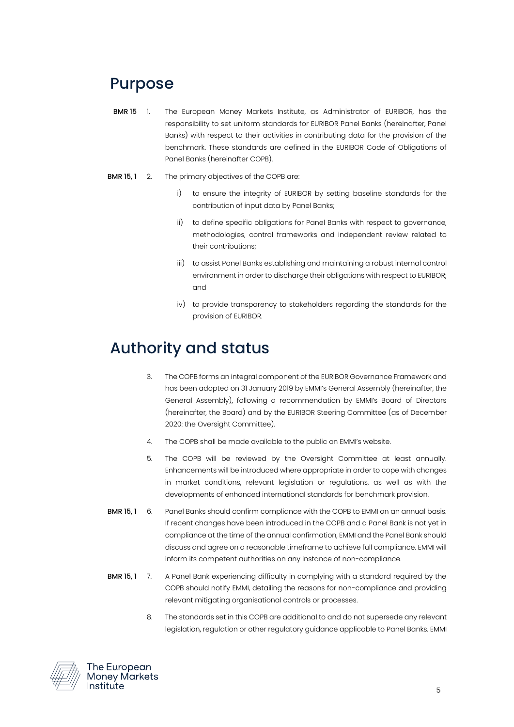# <span id="page-4-0"></span>Purpose

- BMR 15 1. The European Money Markets Institute, as Administrator of EURIBOR, has the responsibility to set uniform standards for EURIBOR Panel Banks (hereinafter, Panel Banks) with respect to their activities in contributing data for the provision of the benchmark. These standards are defined in the EURIBOR Code of Obligations of Panel Banks (hereinafter COPB).
- **BMR 15, 1** 2. The primary objectives of the COPB are:
	- i) to ensure the integrity of EURIBOR by setting baseline standards for the contribution of input data by Panel Banks;
	- ii) to define specific obligations for Panel Banks with respect to governance, methodologies, control frameworks and independent review related to their contributions;
	- iii) to assist Panel Banks establishing and maintaining a robust internal control environment in order to discharge their obligations with respect to EURIBOR; and
	- iv) to provide transparency to stakeholders regarding the standards for the provision of EURIBOR.

# <span id="page-4-1"></span>Authority and status

- 3. The COPB forms an integral component of the EURIBOR Governance Framework and has been adopted on 31 January 2019 by EMMI's General Assembly (hereinafter, the General Assembly), following a recommendation by EMMI's Board of Directors (hereinafter, the Board) and by the EURIBOR Steering Committee (as of December 2020: the Oversight Committee).
- 4. The COPB shall be made available to the public on EMMI's website.
- 5. The COPB will be reviewed by the Oversight Committee at least annually. Enhancements will be introduced where appropriate in order to cope with changes in market conditions, relevant legislation or regulations, as well as with the developments of enhanced international standards for benchmark provision.
- **BMR 15, 1** 6. Panel Banks should confirm compliance with the COPB to EMMI on an annual basis. If recent changes have been introduced in the COPB and a Panel Bank is not yet in compliance at the time of the annual confirmation, EMMI and the Panel Bank should discuss and agree on a reasonable timeframe to achieve full compliance. EMMI will inform its competent authorities on any instance of non-compliance.
- **BMR 15, 1** 7. A Panel Bank experiencing difficulty in complying with a standard required by the COPB should notify EMMI, detailing the reasons for non-compliance and providing relevant mitigating organisational controls or processes.
	- 8. The standards set in this COPB are additional to and do not supersede any relevant legislation, regulation or other regulatory guidance applicable to Panel Banks. EMMI

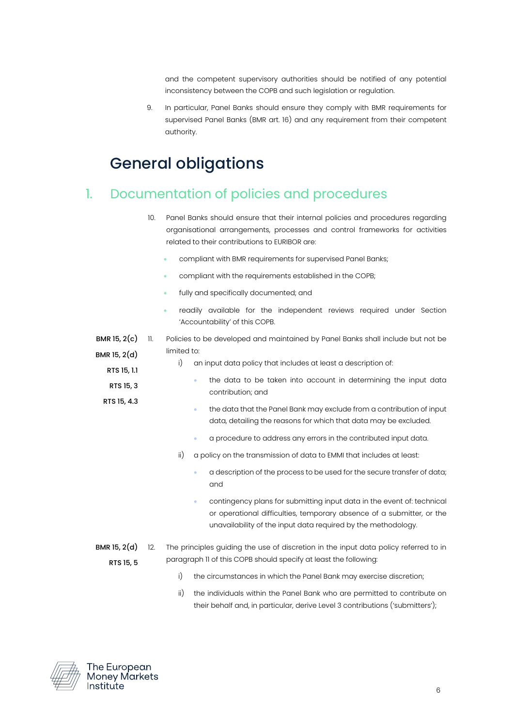and the competent supervisory authorities should be notified of any potential inconsistency between the COPB and such legislation or regulation.

9. In particular, Panel Banks should ensure they comply with BMR requirements for supervised Panel Banks (BMR art. 16) and any requirement from their competent authority.

# <span id="page-5-0"></span>General obligations

#### <span id="page-5-1"></span>1. Documentation of policies and procedures

- 10. Panel Banks should ensure that their internal policies and procedures regarding organisational arrangements, processes and control frameworks for activities related to their contributions to EURIBOR are:
	- compliant with BMR requirements for supervised Panel Banks;
	- compliant with the requirements established in the COPB;
	- fully and specifically documented; and
	- readily available for the independent reviews required under Section 'Accountability' of this COPB.

<span id="page-5-2"></span>BMR 15,  $2(c)$  11. BMR 15, 2(d) RTS 15, 1.1 Policies to be developed and maintained by Panel Banks shall include but not be limited to: i) an input data policy that includes at least a description of:

- RTS 15, 3 RTS 15, 4.3 the data to be taken into account in determining the input data contribution; and • the data that the Panel Bank may exclude from a contribution of input data, detailing the reasons for which that data may be excluded. • a procedure to address any errors in the contributed input data. ii) a policy on the transmission of data to EMMI that includes at least: • a description of the process to be used for the secure transfer of data; and • contingency plans for submitting input data in the event of: technical or operational difficulties, temporary absence of a submitter, or the unavailability of the input data required by the methodology. BMR 15, 2(d) RTS 15, 5 12. The principles guiding the use of discretion in the input data policy referred to in paragraph [11](#page-5-2) of this COPB should specify at least the following:
	- i) the circumstances in which the Panel Bank may exercise discretion;
	- ii) the individuals within the Panel Bank who are permitted to contribute on their behalf and, in particular, derive Level 3 contributions ('submitters');

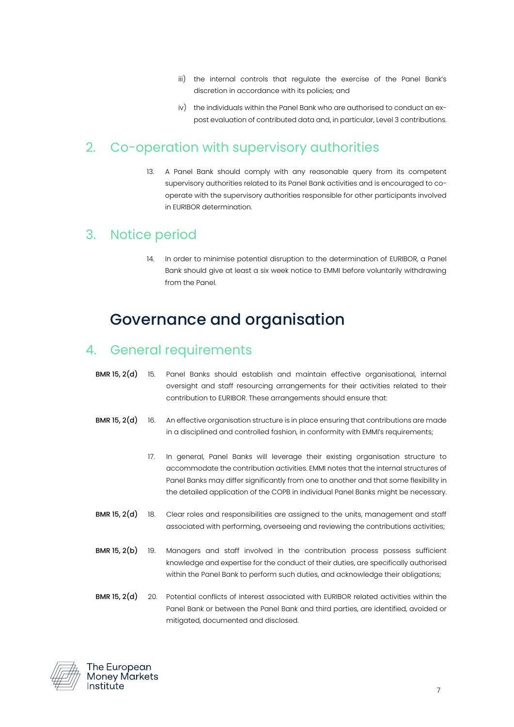- iii) the internal controls that regulate the exercise of the Panel Bank's discretion in accordance with its policies; and
- iv) the individuals within the Panel Bank who are authorised to conduct an expost evaluation of contributed data and, in particular, Level 3 contributions.

#### <span id="page-6-0"></span>2. Co-operation with supervisory authorities

13. A Panel Bank should comply with any reasonable query from its competent supervisory authorities related to its Panel Bank activities and is encouraged to cooperate with the supervisory authorities responsible for other participants involved in EURIBOR determination.

#### <span id="page-6-1"></span>3. Notice period

14. In order to minimise potential disruption to the determination of EURIBOR, a Panel Bank should give at least a six week notice to EMMI before voluntarily withdrawing from the Panel.

# <span id="page-6-2"></span>Governance and organisation

#### <span id="page-6-3"></span>4. General requirements

- BMR 15, 2(d) 15. Panel Banks should establish and maintain effective organisational, internal oversight and staff resourcing arrangements for their activities related to their contribution to EURIBOR. These arrangements should ensure that:
- BMR 15, 2(d) 16. An effective organisation structure is in place ensuring that contributions are made in a disciplined and controlled fashion, in conformity with EMMI's requirements;
	- 17. In general, Panel Banks will leverage their existing organisation structure to accommodate the contribution activities. EMMI notes that the internal structures of Panel Banks may differ significantly from one to another and that some flexibility in the detailed application of the COPB in individual Panel Banks might be necessary.
- BMR 15, 2(d) 18. Clear roles and responsibilities are assigned to the units, management and staff associated with performing, overseeing and reviewing the contributions activities;
- BMR 15, 2(b) 19. Managers and staff involved in the contribution process possess sufficient knowledge and expertise for the conduct of their duties, are specifically authorised within the Panel Bank to perform such duties, and acknowledge their obligations;
- BMR 15, 2(d) 20. Potential conflicts of interest associated with EURIBOR related activities within the Panel Bank or between the Panel Bank and third parties, are identified, avoided or mitigated, documented and disclosed.

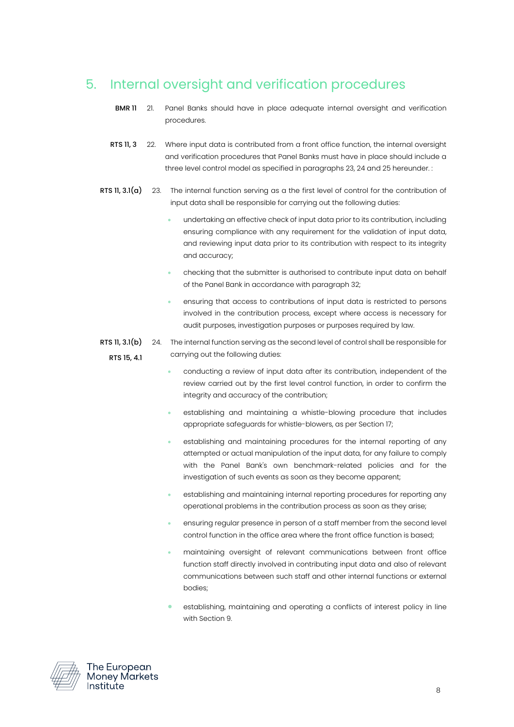## <span id="page-7-0"></span>5. Internal oversight and verification procedures

- BMR 11 21. Panel Banks should have in place adequate internal oversight and verification procedures.
- RTS 11, 3 22. Where input data is contributed from a front office function, the internal oversight and verification procedures that Panel Banks must have in place should include a three level control model as specified in paragraph[s 23,](#page-7-1) [24](#page-7-2) an[d 25](#page-8-1) hereunder. :
- <span id="page-7-1"></span>RTS 11, 3.1(a) 23. The internal function serving as a the first level of control for the contribution of input data shall be responsible for carrying out the following duties:
	- undertaking an effective check of input data prior to its contribution, including ensuring compliance with any requirement for the validation of input data, and reviewing input data prior to its contribution with respect to its integrity and accuracy;
	- checking that the submitter is authorised to contribute input data on behalf of the Panel Bank in accordance with paragraph [32;](#page-9-2)
	- ensuring that access to contributions of input data is restricted to persons involved in the contribution process, except where access is necessary for audit purposes, investigation purposes or purposes required by law.
- <span id="page-7-2"></span>RTS 11, 3.1(b) RTS 15, 4.1 24. The internal function serving as the second level of control shall be responsible for carrying out the following duties:
	- conducting a review of input data after its contribution, independent of the review carried out by the first level control function, in order to confirm the integrity and accuracy of the contribution;
	- establishing and maintaining a whistle-blowing procedure that includes appropriate safeguards for whistle-blowers, as per Section [17;](#page-19-0)
	- establishing and maintaining procedures for the internal reporting of any attempted or actual manipulation of the input data, for any failure to comply with the Panel Bank's own benchmark-related policies and for the investigation of such events as soon as they become apparent;
	- establishing and maintaining internal reporting procedures for reporting any operational problems in the contribution process as soon as they arise;
	- ensuring regular presence in person of a staff member from the second level control function in the office area where the front office function is based;
	- maintaining oversight of relevant communications between front office function staff directly involved in contributing input data and also of relevant communications between such staff and other internal functions or external bodies;
	- establishing, maintaining and operating a conflicts of interest policy in line with Sectio[n 9.](#page-10-0)

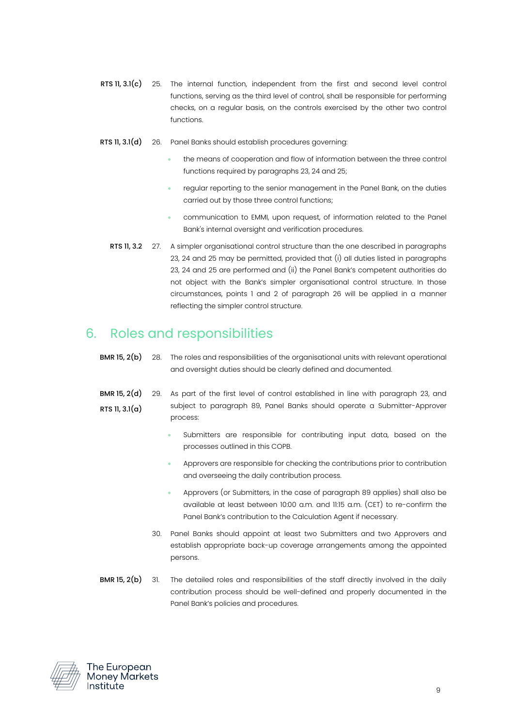- <span id="page-8-1"></span>RTS 11, 3.1(c) 25. The internal function, independent from the first and second level control functions, serving as the third level of control, shall be responsible for performing checks, on a regular basis, on the controls exercised by the other two control functions.
- <span id="page-8-3"></span><span id="page-8-2"></span>RTS 11, 3.1(d) 26. Panel Banks should establish procedures governing:
	- the means of cooperation and flow of information between the three control functions required by paragraph[s 23,](#page-7-1) [24](#page-7-2) and [25;](#page-8-1)
	- regular reporting to the senior management in the Panel Bank, on the duties carried out by those three control functions;
	- communication to EMMI, upon request, of information related to the Panel Bank's internal oversight and verification procedures.
	- RTS 11, 3.2 27. A simpler organisational control structure than the one described in paragraphs [23,](#page-7-1) [24](#page-7-2) and [25](#page-8-1) may be permitted, provided that (i) all duties listed in paragraphs [23,](#page-7-1) [24](#page-7-2) and [25](#page-8-1) are performed and (ii) the Panel Bank's competent authorities do not object with the Bank's simpler organisational control structure. In those circumstances, points 1 and 2 of paragraph [26](#page-8-2) will be applied in a manner reflecting the simpler control structure.

### <span id="page-8-0"></span>6. Roles and responsibilities

- BMR 15, 2(b) 28. The roles and responsibilities of the organisational units with relevant operational and oversight duties should be clearly defined and documented.
- BMR 15, 2(d) RTS 11, 3.1(a) 29. As part of the first level of control established in line with paragraph [23,](#page-7-1) and subject to paragraph 89, Panel Banks should operate a Submitter-Approver process:
	- Submitters are responsible for contributing input data, based on the processes outlined in this COPB.
	- Approvers are responsible for checking the contributions prior to contribution and overseeing the daily contribution process.
	- Approvers (or Submitters, in the case of paragraph 89 applies) shall also be available at least between 10:00 a.m. and 11:15 a.m. (CET) to re-confirm the Panel Bank's contribution to the Calculation Agent if necessary.
	- 30. Panel Banks should appoint at least two Submitters and two Approvers and establish appropriate back-up coverage arrangements among the appointed persons.
- BMR 15, 2(b) 31. The detailed roles and responsibilities of the staff directly involved in the daily contribution process should be well-defined and properly documented in the Panel Bank's policies and procedures.

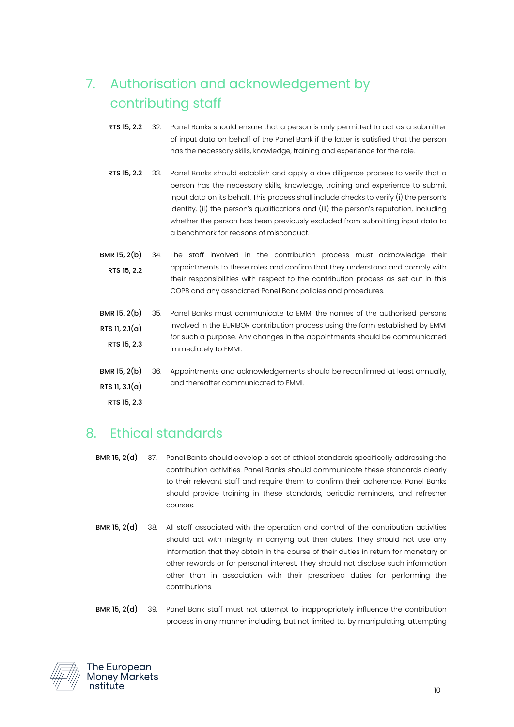# <span id="page-9-0"></span>7. Authorisation and acknowledgement by contributing staff

- <span id="page-9-2"></span>RTS 15, 2.2 32. Panel Banks should ensure that a person is only permitted to act as a submitter of input data on behalf of the Panel Bank if the latter is satisfied that the person has the necessary skills, knowledge, training and experience for the role.
- RTS 15, 2.2 33. Panel Banks should establish and apply a due diligence process to verify that a person has the necessary skills, knowledge, training and experience to submit input data on its behalf. This process shall include checks to verify (i) the person's identity, (ii) the person's qualifications and (iii) the person's reputation, including whether the person has been previously excluded from submitting input data to a benchmark for reasons of misconduct.
- BMR 15, 2(b) RTS 15, 2.2 34. The staff involved in the contribution process must acknowledge their appointments to these roles and confirm that they understand and comply with their responsibilities with respect to the contribution process as set out in this COPB and any associated Panel Bank policies and procedures.
- BMR 15, 2(b) RTS 11, 2.1(a) RTS 15, 2.3 35. Panel Banks must communicate to EMMI the names of the authorised persons involved in the EURIBOR contribution process using the form established by EMMI for such a purpose. Any changes in the appointments should be communicated immediately to EMMI.
- BMR 15, 2(b) RTS 11, 3.1(a) 36. Appointments and acknowledgements should be reconfirmed at least annually, and thereafter communicated to EMMI.

RTS 15, 2.3

#### <span id="page-9-1"></span>8. Ethical standards

- BMR 15, 2(d) 37. Panel Banks should develop a set of ethical standards specifically addressing the contribution activities. Panel Banks should communicate these standards clearly to their relevant staff and require them to confirm their adherence. Panel Banks should provide training in these standards, periodic reminders, and refresher courses.
- BMR 15, 2(d) 38. All staff associated with the operation and control of the contribution activities should act with integrity in carrying out their duties. They should not use any information that they obtain in the course of their duties in return for monetary or other rewards or for personal interest. They should not disclose such information other than in association with their prescribed duties for performing the contributions.
- BMR 15, 2(d) 39. Panel Bank staff must not attempt to inappropriately influence the contribution process in any manner including, but not limited to, by manipulating, attempting

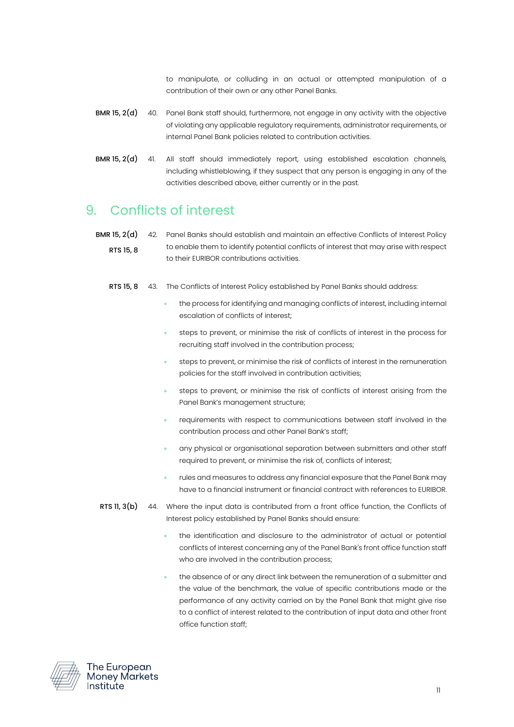to manipulate, or colluding in an actual or attempted manipulation of a contribution of their own or any other Panel Banks.

- BMR 15, 2(d) 40. Panel Bank staff should, furthermore, not engage in any activity with the objective of violating any applicable regulatory requirements, administrator requirements, or internal Panel Bank policies related to contribution activities.
- BMR 15, 2(d) 41. All staff should immediately report, using established escalation channels, including whistleblowing, if they suspect that any person is engaging in any of the activities described above, either currently or in the past.

#### <span id="page-10-0"></span>9. Conflicts of interest

**BMR 15, 2(d)** 42. Panel Banks should establish and maintain an effective Conflicts of Interest Policy RTS 15, 8 to enable them to identify potential conflicts of interest that may arise with respect to their EURIBOR contributions activities.

- RTS 15, 8 43. The Conflicts of Interest Policy established by Panel Banks should address:
	- the process for identifying and managing conflicts of interest, including internal escalation of conflicts of interest;
	- steps to prevent, or minimise the risk of conflicts of interest in the process for recruiting staff involved in the contribution process;
	- steps to prevent, or minimise the risk of conflicts of interest in the remuneration policies for the staff involved in contribution activities;
	- steps to prevent, or minimise the risk of conflicts of interest arising from the Panel Bank's management structure;
	- requirements with respect to communications between staff involved in the contribution process and other Panel Bank's staff;
	- any physical or organisational separation between submitters and other staff required to prevent, or minimise the risk of, conflicts of interest;
	- rules and measures to address any financial exposure that the Panel Bank may have to a financial instrument or financial contract with references to EURIBOR.
- **RTS 11, 3(b)** 44. Where the input data is contributed from a front office function, the Conflicts of Interest policy established by Panel Banks should ensure:
	- the identification and disclosure to the administrator of actual or potential conflicts of interest concerning any of the Panel Bank's front office function staff who are involved in the contribution process;
	- the absence of or any direct link between the remuneration of a submitter and the value of the benchmark, the value of specific contributions made or the performance of any activity carried on by the Panel Bank that might give rise to a conflict of interest related to the contribution of input data and other front office function staff;



The European **Money Markets** Institute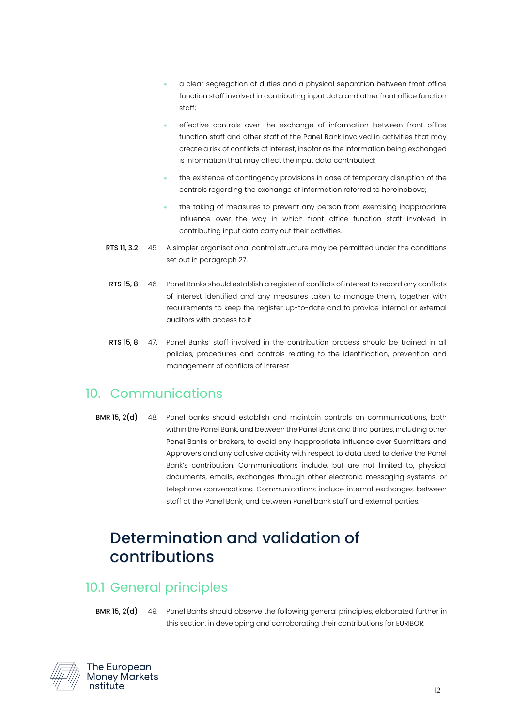- a clear segregation of duties and a physical separation between front office function staff involved in contributing input data and other front office function staff;
- effective controls over the exchange of information between front office function staff and other staff of the Panel Bank involved in activities that may create a risk of conflicts of interest, insofar as the information being exchanged is information that may affect the input data contributed;
- the existence of contingency provisions in case of temporary disruption of the controls regarding the exchange of information referred to hereinabove;
- the taking of measures to prevent any person from exercising inappropriate influence over the way in which front office function staff involved in contributing input data carry out their activities.
- RTS 11, 3.2 45. A simpler organisational control structure may be permitted under the conditions set out in paragrap[h 27.](#page-8-3)
- <span id="page-11-3"></span>RTS 15, 8 46. Panel Banks should establish a register of conflicts of interest to record any conflicts of interest identified and any measures taken to manage them, together with requirements to keep the register up-to-date and to provide internal or external auditors with access to it.
- RTS 15, 8 47. Panel Banks' staff involved in the contribution process should be trained in all policies, procedures and controls relating to the identification, prevention and management of conflicts of interest.

#### <span id="page-11-0"></span>10. Communications

BMR 15, 2(d) 48. Panel banks should establish and maintain controls on communications, both within the Panel Bank, and between the Panel Bank and third parties, including other Panel Banks or brokers, to avoid any inappropriate influence over Submitters and Approvers and any collusive activity with respect to data used to derive the Panel Bank's contribution. Communications include, but are not limited to, physical documents, emails, exchanges through other electronic messaging systems, or telephone conversations. Communications include internal exchanges between staff at the Panel Bank, and between Panel bank staff and external parties.

# <span id="page-11-1"></span>Determination and validation of contributions

#### <span id="page-11-2"></span>10.1 General principles

BMR 15, 2(d) 49. Panel Banks should observe the following general principles, elaborated further in this section, in developing and corroborating their contributions for EURIBOR.



The European **Money Markets** Institute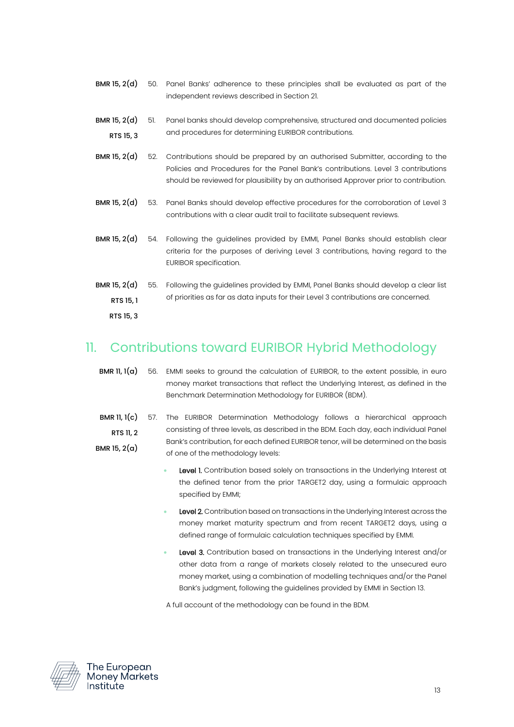- BMR 15, 2(d) 50. Panel Banks' adherence to these principles shall be evaluated as part of the independent reviews described in Sectio[n 21.](#page-22-0)
- BMR 15, 2(d) RTS 15, 3 51. Panel banks should develop comprehensive, structured and documented policies and procedures for determining EURIBOR contributions.
- BMR 15, 2(d) 52. Contributions should be prepared by an authorised Submitter, according to the Policies and Procedures for the Panel Bank's contributions. Level 3 contributions should be reviewed for plausibility by an authorised Approver prior to contribution.
- BMR 15, 2(d) 53. Panel Banks should develop effective procedures for the corroboration of Level 3 contributions with a clear audit trail to facilitate subsequent reviews.
- BMR 15, 2(d) 54. Following the guidelines provided by EMMI, Panel Banks should establish clear criteria for the purposes of deriving Level 3 contributions, having regard to the EURIBOR specification.
- BMR 15, 2(d) RTS 15, 1 RTS 15, 3 55. Following the guidelines provided by EMMI, Panel Banks should develop a clear list of priorities as far as data inputs for their Level 3 contributions are concerned.

#### <span id="page-12-0"></span>11. Contributions toward EURIBOR Hybrid Methodology

- **BMR 11, 1(a)** 56. EMMI seeks to ground the calculation of EURIBOR, to the extent possible, in euro money market transactions that reflect the Underlying Interest, as defined in the Benchmark Determination Methodology for EURIBOR (BDM).
- **BMR 11, 1(c)** 57. The EURIBOR Determination Methodology follows a hierarchical approach RTS 11, 2 BMR 15, 2(a) consisting of three levels, as described in the BDM. Each day, each individual Panel Bank's contribution, for each defined EURIBOR tenor, will be determined on the basis of one of the methodology levels:
	- Level 1. Contribution based solely on transactions in the Underlying Interest at the defined tenor from the prior TARGET2 day, using a formulaic approach specified by EMMI;
	- Level 2. Contribution based on transactions in the Underlying Interest across the money market maturity spectrum and from recent TARGET2 days, using a defined range of formulaic calculation techniques specified by EMMI.
	- Level 3. Contribution based on transactions in the Underlying Interest and/or other data from a range of markets closely related to the unsecured euro money market, using a combination of modelling techniques and/or the Panel Bank's judgment, following the guidelines provided by EMMI in Section [13.](#page-13-1)

A full account of the methodology can be found in the BDM.

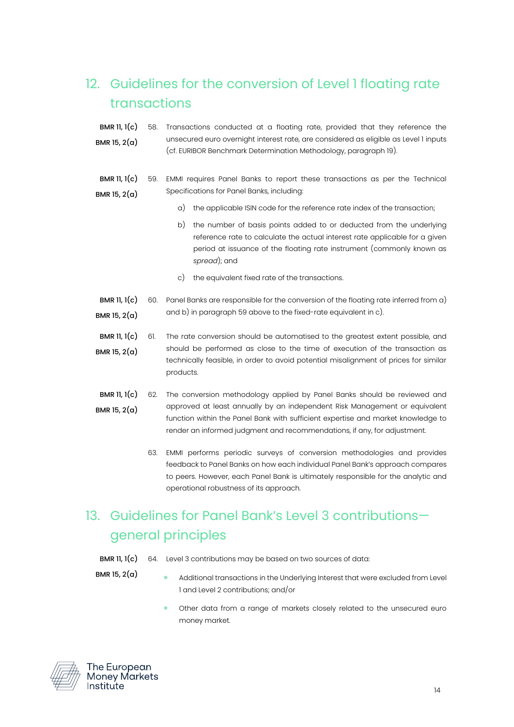## <span id="page-13-0"></span>12. Guidelines for the conversion of Level 1 floating rate transactions

- BMR 11, 1(c) BMR 15, 2(a) 58. Transactions conducted at a floating rate, provided that they reference the unsecured euro overnight interest rate, are considered as eligible as Level 1 inputs (cf. EURIBOR Benchmark Determination Methodology, paragraph 19).
- <span id="page-13-4"></span><span id="page-13-3"></span><span id="page-13-2"></span>BMR 11, 1(c) BMR 15, 2(a) 59. EMMI requires Panel Banks to report these transactions as per the Technical Specifications for Panel Banks, including:
	- a) the applicable ISIN code for the reference rate index of the transaction;
	- b) the number of basis points added to or deducted from the underlying reference rate to calculate the actual interest rate applicable for a given period at issuance of the floating rate instrument (commonly known as *spread*); and
	- c) the equivalent fixed rate of the transactions.
- <span id="page-13-5"></span>BMR 11, 1(c) BMR 15, 2(a) 60. Panel Banks are responsible for the conversion of the floating rate inferred fro[m a\)](#page-13-2) an[d b\)](#page-13-3) in paragraph [59](#page-13-4) above to the fixed-rate equivalent in [c\).](#page-13-5)
- **BMR 11,**  $1(c)$  61. BMR 15, 2(a) The rate conversion should be automatised to the greatest extent possible, and should be performed as close to the time of execution of the transaction as technically feasible, in order to avoid potential misalignment of prices for similar products.
- BMR 11, 1(c) BMR 15, 2(a) 62. The conversion methodology applied by Panel Banks should be reviewed and approved at least annually by an independent Risk Management or equivalent function within the Panel Bank with sufficient expertise and market knowledge to render an informed judgment and recommendations, if any, for adjustment.
	- 63. EMMI performs periodic surveys of conversion methodologies and provides feedback to Panel Banks on how each individual Panel Bank's approach compares to peers. However, each Panel Bank is ultimately responsible for the analytic and operational robustness of its approach.

## <span id="page-13-1"></span>13. Guidelines for Panel Bank's Level 3 contributions general principles

- BMR 11, 1(c) 64. Level 3 contributions may be based on two sources of data:
- BMR 15, 2(a)
- Additional transactions in the Underlying Interest that were excluded from Level 1 and Level 2 contributions; and/or
- Other data from a range of markets closely related to the unsecured euro money market.

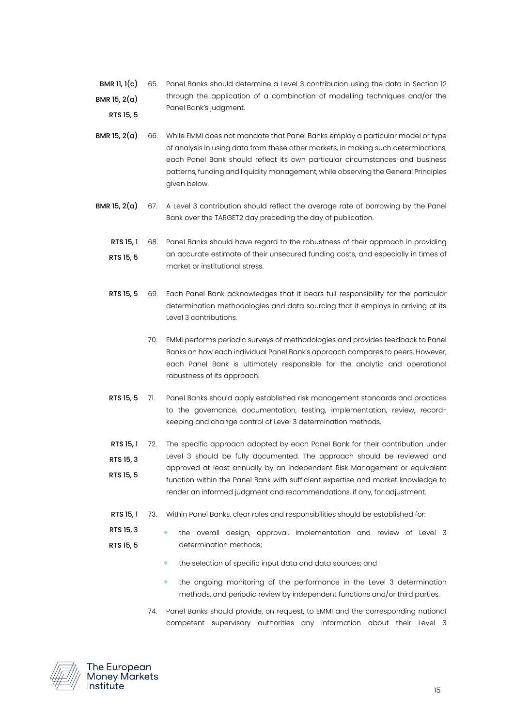- BMR 11,  $1(c)$ BMR 15, 2(a) RTS 15, 5 65. Panel Banks should determine a Level 3 contribution using the data in Section [12](#page-13-0) through the application of a combination of modelling techniques and/or the Panel Bank's judgment.
- **BMR 15, 2(a)** 66. While EMMI does not mandate that Panel Banks employ a particular model or type of analysis in using data from these other markets, in making such determinations, each Panel Bank should reflect its own particular circumstances and business patterns, funding and liquidity management, while observing the General Principles given below.
- **BMR 15, 2(a)** 67. A Level 3 contribution should reflect the average rate of borrowing by the Panel Bank over the TARGET2 day preceding the day of publication.
	- RTS 15, 1 68. Panel Banks should have regard to the robustness of their approach in providing RTS 15, 5 an accurate estimate of their unsecured funding costs, and especially in times of market or institutional stress.
	- RTS 15, 5 69. Each Panel Bank acknowledges that it bears full responsibility for the particular determination methodologies and data sourcing that it employs in arriving at its Level 3 contributions.
		- 70. EMMI performs periodic surveys of methodologies and provides feedback to Panel Banks on how each individual Panel Bank's approach compares to peers. However, each Panel Bank is ultimately responsible for the analytic and operational robustness of its approach.
	- RTS 15, 5 71. Panel Banks should apply established risk management standards and practices to the governance, documentation, testing, implementation, review, recordkeeping and change control of Level 3 determination methods.
	- RTS 15.1 72. RTS 15, 3 RTS 15, 5 The specific approach adopted by each Panel Bank for their contribution under Level 3 should be fully documented. The approach should be reviewed and approved at least annually by an independent Risk Management or equivalent function within the Panel Bank with sufficient expertise and market knowledge to render an informed judgment and recommendations, if any, for adjustment.
	- RTS 15, 1 73. Within Panel Banks, clear roles and responsibilities should be established for:
	- RTS 15, 3 RTS 15, 5 • the overall design, approval, implementation and review of Level 3 determination methods;
		- the selection of specific input data and data sources; and
		- the ongoing monitoring of the performance in the Level 3 determination methods, and periodic review by independent functions and/or third parties.
		- 74. Panel Banks should provide, on request, to EMMI and the corresponding national competent supervisory authorities any information about their Level 3

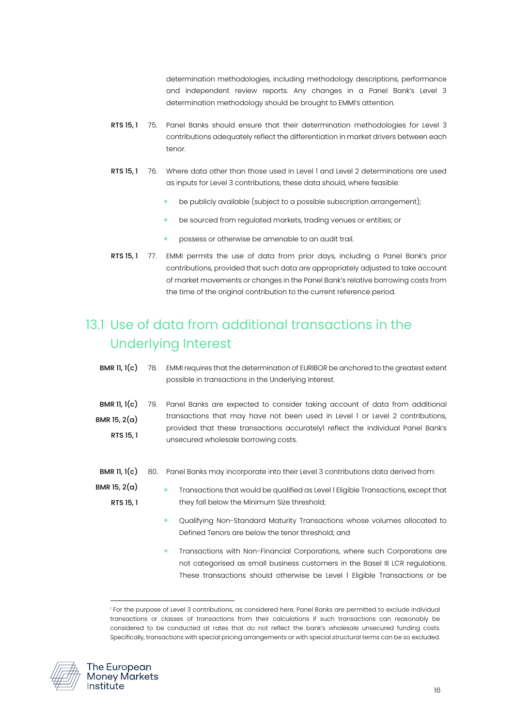determination methodologies, including methodology descriptions, performance and independent review reports. Any changes in a Panel Bank's Level 3 determination methodology should be brought to EMMI's attention.

- RTS 15, 1 75. Panel Banks should ensure that their determination methodologies for Level 3 contributions adequately reflect the differentiation in market drivers between each tenor.
- RTS 15, 1 76. Where data other than those used in Level 1 and Level 2 determinations are used as inputs for Level 3 contributions, these data should, where feasible:
	- be publicly available (subject to a possible subscription arrangement);
	- be sourced from regulated markets, trading venues or entities; or
	- possess or otherwise be amenable to an audit trail.
- RTS 15, 1 77. EMMI permits the use of data from prior days, including a Panel Bank's prior contributions, provided that such data are appropriately adjusted to take account of market movements or changes in the Panel Bank's relative borrowing costs from the time of the original contribution to the current reference period.

# <span id="page-15-0"></span>13.1 Use of data from additional transactions in the Underlying Interest

- BMR 11, 1(c) 78. EMMI requires that the determination of EURIBOR be anchored to the greatest extent possible in transactions in the Underlying Interest.
- BMR 11, 1(c) BMR 15, 2(a) RTS 15, 1 79. Panel Banks are expected to consider taking account of data from additional transactions that may have not been used in Level 1 or Level 2 contributions, provided that these transactions accurately1 reflect the individual Panel Bank's unsecured wholesale borrowing costs.
- BMR 11, 1(c) 80. Panel Banks may incorporate into their Level 3 contributions data derived from:
- BMR 15, 2(a) RTS 15, 1 • Transactions that would be qualified as Level 1 Eligible Transactions, except that they fall below the Minimum Size threshold;
	- Qualifying Non-Standard Maturity Transactions whose volumes allocated to Defined Tenors are below the tenor threshold; and
	- Transactions with Non-Financial Corporations, where such Corporations are not categorised as small business customers in the Basel III LCR regulations. These transactions should otherwise be Level 1 Eligible Transactions or be

<sup>1</sup> For the purpose of Level 3 contributions, as considered here, Panel Banks are permitted to exclude individual transactions or classes of transactions from their calculations if such transactions can reasonably be considered to be conducted at rates that do not reflect the bank's wholesale unsecured funding costs. Specifically, transactions with special pricing arrangements or with special structural terms can be so excluded.

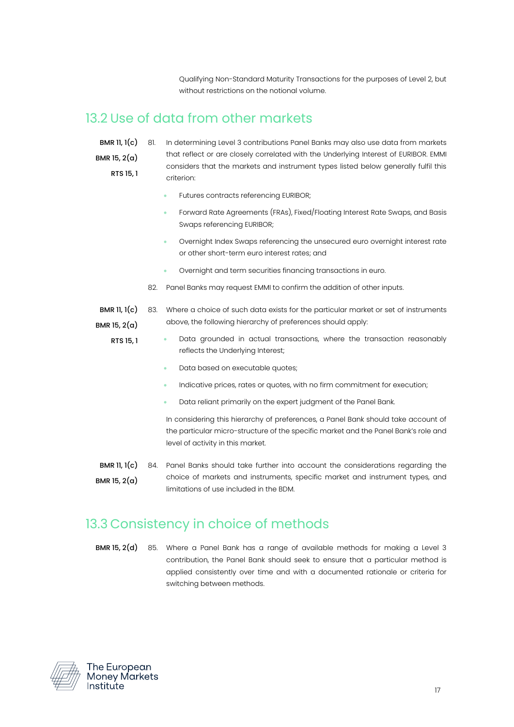Qualifying Non-Standard Maturity Transactions for the purposes of Level 2, but without restrictions on the notional volume.

#### <span id="page-16-0"></span>13.2 Use of data from other markets

BMR 11, 1(c)

- BMR 15,  $2(a)$ 
	- RTS 15, 1
- 81. In determining Level 3 contributions Panel Banks may also use data from markets that reflect or are closely correlated with the Underlying Interest of EURIBOR. EMMI considers that the markets and instrument types listed below generally fulfil this criterion:
	- Futures contracts referencing EURIBOR;
	- Forward Rate Agreements (FRAs), Fixed/Floating Interest Rate Swaps, and Basis Swaps referencing EURIBOR;
	- Overnight Index Swaps referencing the unsecured euro overnight interest rate or other short-term euro interest rates; and
	- Overnight and term securities financing transactions in euro.
- 82. Panel Banks may request EMMI to confirm the addition of other inputs.
- BMR 11, 1(c) BMR 15, 2(a) 83. Where a choice of such data exists for the particular market or set of instruments above, the following hierarchy of preferences should apply:

RTS 15, 1

- Data grounded in actual transactions, where the transaction reasonably reflects the Underlying Interest;
	- Data based on executable quotes;
	- Indicative prices, rates or quotes, with no firm commitment for execution;
	- Data reliant primarily on the expert judgment of the Panel Bank.

In considering this hierarchy of preferences, a Panel Bank should take account of the particular micro-structure of the specific market and the Panel Bank's role and level of activity in this market.

**BMR 11, 1(c)** 84. Panel Banks should take further into account the considerations regarding the BMR 15, 2(a) choice of markets and instruments, specific market and instrument types, and limitations of use included in the BDM.

#### <span id="page-16-1"></span>13.3 Consistency in choice of methods

BMR 15, 2(d) 85. Where a Panel Bank has a range of available methods for making a Level 3 contribution, the Panel Bank should seek to ensure that a particular method is applied consistently over time and with a documented rationale or criteria for switching between methods.

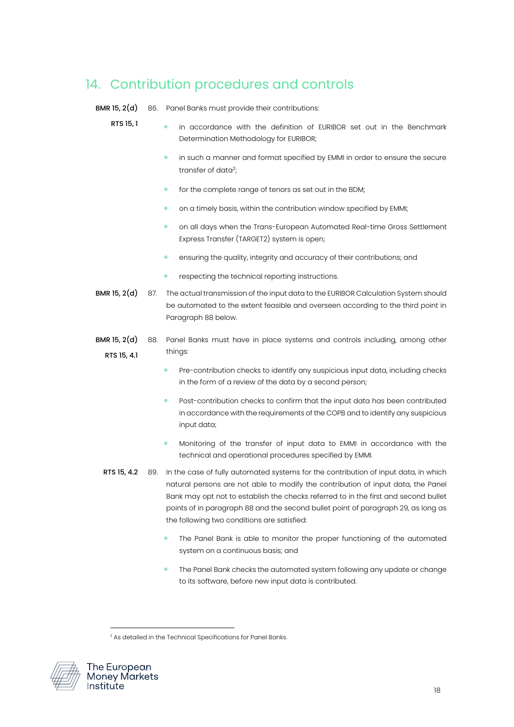## <span id="page-17-0"></span>14. Contribution procedures and controls

BMR 15, 2(d) 86. Panel Banks must provide their contributions:

#### RTS 15, 1

- in accordance with the definition of EURIBOR set out in the Benchmark Determination Methodology for EURIBOR;
	- in such a manner and format specified by EMMI in order to ensure the secure transfer of data<sup>2</sup>;
	- for the complete range of tenors as set out in the BDM;
	- on a timely basis, within the contribution window specified by EMMI;
	- on all days when the Trans-European Automated Real-time Gross Settlement Express Transfer (TARGET2) system is open;
	- ensuring the quality, integrity and accuracy of their contributions; and
	- respecting the technical reporting instructions.
- BMR 15. 2(d) 87. The actual transmission of the input data to the EURIBOR Calculation System should be automated to the extent feasible and overseen according to the third point in Paragrap[h 88](#page-17-1) below.
- <span id="page-17-1"></span>BMR 15, 2(d) RTS 15, 4.1 88. Panel Banks must have in place systems and controls including, among other things:
	- Pre-contribution checks to identify any suspicious input data, including checks in the form of a review of the data by a second person;
	- Post-contribution checks to confirm that the input data has been contributed in accordance with the requirements of the COPB and to identify any suspicious input data;
	- Monitoring of the transfer of input data to EMMI in accordance with the technical and operational procedures specified by EMMI.
	- RTS 15, 4.2 89. In the case of fully automated systems for the contribution of input data, in which natural persons are not able to modify the contribution of input data, the Panel Bank may opt not to establish the checks referred to in the first and second bullet points of in paragraph [88](#page-17-1) and the second bullet point of paragraph 29, as long as the following two conditions are satisfied:
		- The Panel Bank is able to monitor the proper functioning of the automated system on a continuous basis; and
		- The Panel Bank checks the automated system following any update or change to its software, before new input data is contributed.

<sup>&</sup>lt;sup>2</sup> As detailed in the Technical Specifications for Panel Banks.

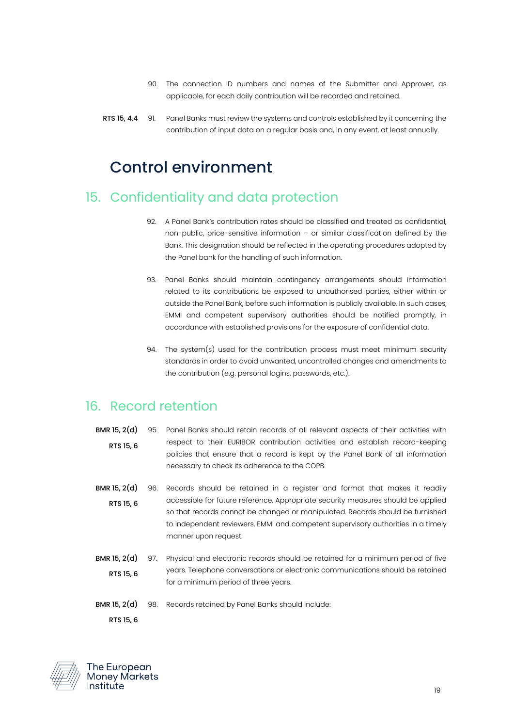- 90. The connection ID numbers and names of the Submitter and Approver, as applicable, for each daily contribution will be recorded and retained.
- RTS 15, 4.4 91. Panel Banks must review the systems and controls established by it concerning the contribution of input data on a regular basis and, in any event, at least annually.

# <span id="page-18-0"></span>Control environment

#### <span id="page-18-1"></span>15. Confidentiality and data protection

- 92. A Panel Bank's contribution rates should be classified and treated as confidential, non-public, price-sensitive information – or similar classification defined by the Bank. This designation should be reflected in the operating procedures adopted by the Panel bank for the handling of such information.
- 93. Panel Banks should maintain contingency arrangements should information related to its contributions be exposed to unauthorised parties, either within or outside the Panel Bank, before such information is publicly available. In such cases, EMMI and competent supervisory authorities should be notified promptly, in accordance with established provisions for the exposure of confidential data.
- 94. The system(s) used for the contribution process must meet minimum security standards in order to avoid unwanted, uncontrolled changes and amendments to the contribution (e.g. personal logins, passwords, etc.).

#### <span id="page-18-2"></span>16. Record retention

- BMR 15, 2(d) RTS 15, 6 95. Panel Banks should retain records of all relevant aspects of their activities with respect to their EURIBOR contribution activities and establish record-keeping policies that ensure that a record is kept by the Panel Bank of all information necessary to check its adherence to the COPB.
- BMR 15, 2(d) RTS 15, 6 96. Records should be retained in a register and format that makes it readily accessible for future reference. Appropriate security measures should be applied so that records cannot be changed or manipulated. Records should be furnished to independent reviewers, EMMI and competent supervisory authorities in a timely manner upon request.
- BMR 15, 2(d) RTS 15, 6 97. Physical and electronic records should be retained for a minimum period of five years. Telephone conversations or electronic communications should be retained for a minimum period of three years.
- BMR 15, 2(d) RTS 15, 6 98. Records retained by Panel Banks should include:

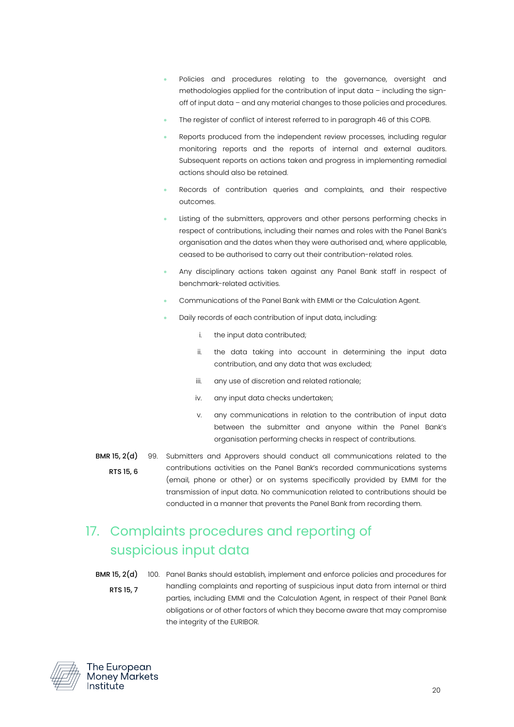- Policies and procedures relating to the governance, oversight and methodologies applied for the contribution of input data – including the signoff of input data – and any material changes to those policies and procedures.
- The register of conflict of interest referred to in paragrap[h 46](#page-11-3) of this COPB.
- Reports produced from the independent review processes, including regular monitoring reports and the reports of internal and external auditors. Subsequent reports on actions taken and progress in implementing remedial actions should also be retained.
- Records of contribution queries and complaints, and their respective outcomes.
- Listing of the submitters, approvers and other persons performing checks in respect of contributions, including their names and roles with the Panel Bank's organisation and the dates when they were authorised and, where applicable, ceased to be authorised to carry out their contribution-related roles.
- Any disciplinary actions taken against any Panel Bank staff in respect of benchmark-related activities.
- Communications of the Panel Bank with EMMI or the Calculation Agent.
- Daily records of each contribution of input data, including:
	- i. the input data contributed;
	- ii. the data taking into account in determining the input data contribution, and any data that was excluded;
	- iii. any use of discretion and related rationale;
	- iv. any input data checks undertaken;
	- v. any communications in relation to the contribution of input data between the submitter and anyone within the Panel Bank's organisation performing checks in respect of contributions.
- BMR 15, 2(d) 99. Submitters and Approvers should conduct all communications related to the RTS 15, 6 contributions activities on the Panel Bank's recorded communications systems (email, phone or other) or on systems specifically provided by EMMI for the transmission of input data. No communication related to contributions should be conducted in a manner that prevents the Panel Bank from recording them.

## <span id="page-19-0"></span>17. Complaints procedures and reporting of suspicious input data

BMR 15, 2(d) RTS 15, 7 100. Panel Banks should establish, implement and enforce policies and procedures for handling complaints and reporting of suspicious input data from internal or third parties, including EMMI and the Calculation Agent, in respect of their Panel Bank obligations or of other factors of which they become aware that may compromise the integrity of the EURIBOR.

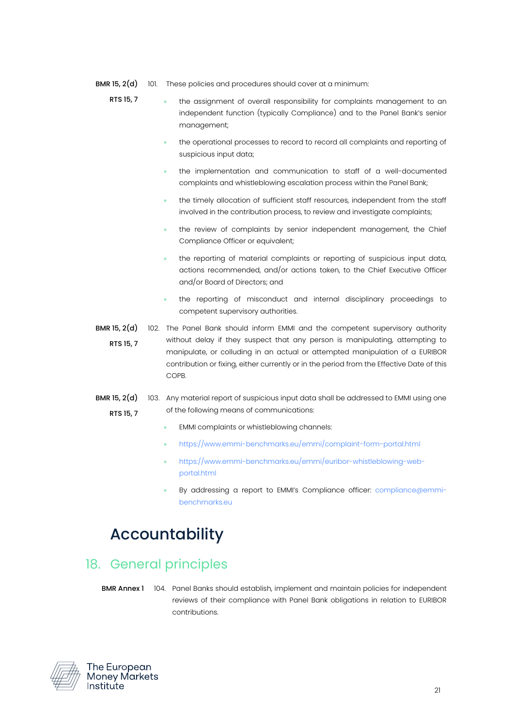- BMR 15, 2(d) 101. These policies and procedures should cover at a minimum:
	- RTS 15, 7 • the assignment of overall responsibility for complaints management to an independent function (typically Compliance) and to the Panel Bank's senior management;
		- the operational processes to record to record all complaints and reporting of suspicious input data;
		- the implementation and communication to staff of a well-documented complaints and whistleblowing escalation process within the Panel Bank;
		- the timely allocation of sufficient staff resources, independent from the staff involved in the contribution process, to review and investigate complaints;
		- the review of complaints by senior independent management, the Chief Compliance Officer or equivalent;
		- the reporting of material complaints or reporting of suspicious input data, actions recommended, and/or actions taken, to the Chief Executive Officer and/or Board of Directors; and
		- the reporting of misconduct and internal disciplinary proceedings to competent supervisory authorities.
- **BMR 15, 2(d)** 102. The Panel Bank should inform EMMI and the competent supervisory authority RTS 15, 7 without delay if they suspect that any person is manipulating, attempting to manipulate, or colluding in an actual or attempted manipulation of a EURIBOR contribution or fixing, either currently or in the period from the Effective Date of this COPB.
- **BMR 15, 2(d)** 103. Any material report of suspicious input data shall be addressed to EMMI using one RTS 15, 7 of the following means of communications:
	- EMMI complaints or whistleblowing channels:
	- <https://www.emmi-benchmarks.eu/emmi/complaint-form-portal.html>
	- [https://www.emmi-benchmarks.eu/emmi/euribor-whistleblowing-web](https://www.emmi-benchmarks.eu/emmi/euribor-whistleblowing-web-portal.html)[portal.html](https://www.emmi-benchmarks.eu/emmi/euribor-whistleblowing-web-portal.html)
	- By addressing a report to EMMI's Compliance officer: [compliance@emmi](mailto:compliance@emmi-benchmarks.eu)[benchmarks.eu](mailto:compliance@emmi-benchmarks.eu)

# <span id="page-20-0"></span>Accountability

#### <span id="page-20-1"></span>18. General principles

BMR Annex 1 104. Panel Banks should establish, implement and maintain policies for independent reviews of their compliance with Panel Bank obligations in relation to EURIBOR contributions.

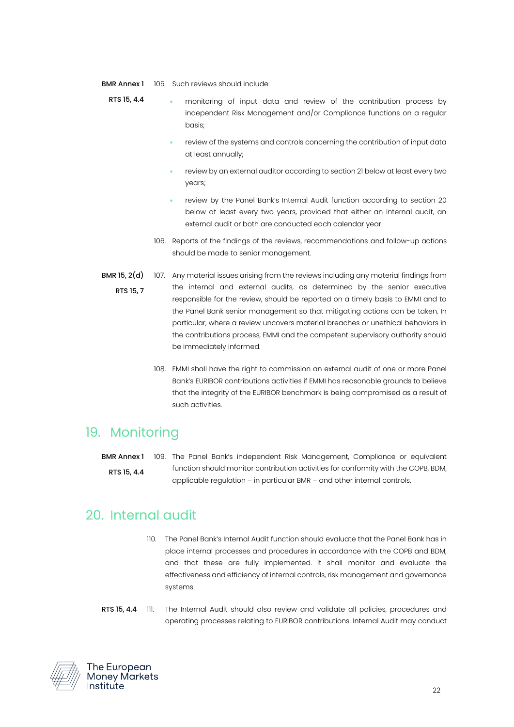- BMR Annex 1 105. Such reviews should include:
	- RTS 15, 4.4 • monitoring of input data and review of the contribution process by independent Risk Management and/or Compliance functions on a regular basis;
		- review of the systems and controls concerning the contribution of input data at least annually;
		- review by an external auditor according to section 21 below at least every two years;
		- review by the Panel Bank's Internal Audit function according to section 20 below at least every two years, provided that either an internal audit, an external audit or both are conducted each calendar year.
		- 106. Reports of the findings of the reviews, recommendations and follow-up actions should be made to senior management.
- <span id="page-21-2"></span>BMR 15, 2(d) RTS 15, 7 107. Any material issues arising from the reviews including any material findings from the internal and external audits, as determined by the senior executive responsible for the review, should be reported on a timely basis to EMMI and to the Panel Bank senior management so that mitigating actions can be taken. In particular, where a review uncovers material breaches or unethical behaviors in the contributions process, EMMI and the competent supervisory authority should be immediately informed.
	- 108. EMMI shall have the right to commission an external audit of one or more Panel Bank's EURIBOR contributions activities if EMMI has reasonable grounds to believe that the integrity of the EURIBOR benchmark is being compromised as a result of such activities.

#### <span id="page-21-0"></span>19. Monitoring

BMR Annex 1 RTS 15, 4.4 109. The Panel Bank's independent Risk Management, Compliance or equivalent function should monitor contribution activities for conformity with the COPB, BDM, applicable regulation – in particular BMR – and other internal controls.

#### <span id="page-21-1"></span>20. Internal audit

- 110. The Panel Bank's Internal Audit function should evaluate that the Panel Bank has in place internal processes and procedures in accordance with the COPB and BDM, and that these are fully implemented. It shall monitor and evaluate the effectiveness and efficiency of internal controls, risk management and governance systems.
- RTS 15, 4.4 111. The Internal Audit should also review and validate all policies, procedures and operating processes relating to EURIBOR contributions. Internal Audit may conduct